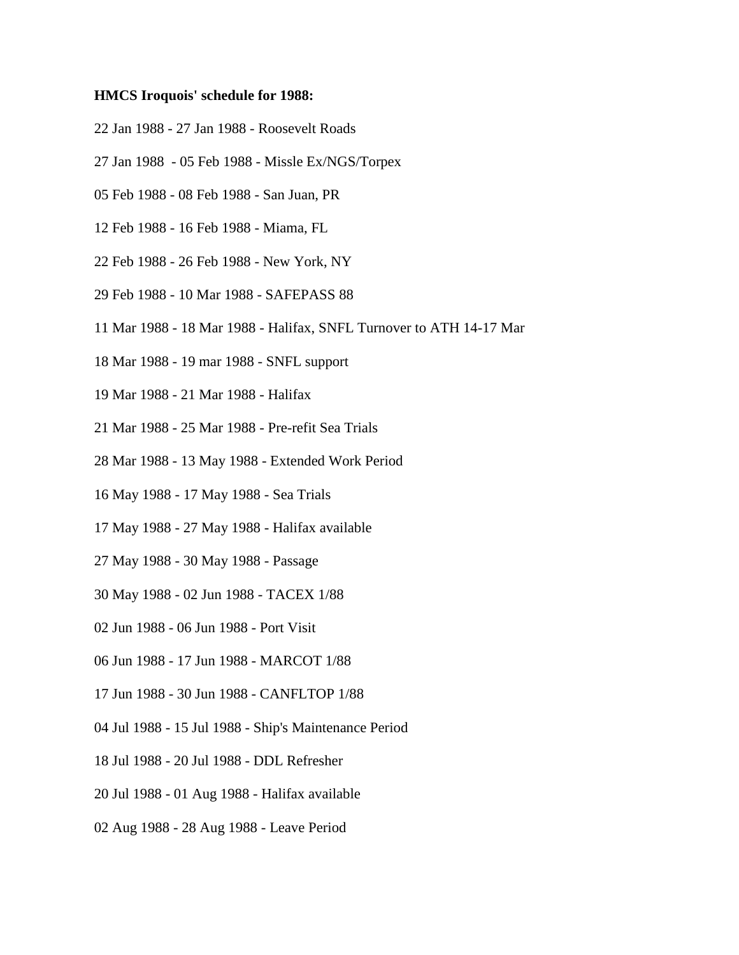## **HMCS Iroquois' schedule for 1988:**

- 22 Jan 1988 27 Jan 1988 Roosevelt Roads
- 27 Jan 1988 05 Feb 1988 Missle Ex/NGS/Torpex
- 05 Feb 1988 08 Feb 1988 San Juan, PR
- 12 Feb 1988 16 Feb 1988 Miama, FL
- 22 Feb 1988 26 Feb 1988 New York, NY
- 29 Feb 1988 10 Mar 1988 SAFEPASS 88
- 11 Mar 1988 18 Mar 1988 Halifax, SNFL Turnover to ATH 14-17 Mar
- 18 Mar 1988 19 mar 1988 SNFL support
- 19 Mar 1988 21 Mar 1988 Halifax
- 21 Mar 1988 25 Mar 1988 Pre-refit Sea Trials
- 28 Mar 1988 13 May 1988 Extended Work Period
- 16 May 1988 17 May 1988 Sea Trials
- 17 May 1988 27 May 1988 Halifax available
- 27 May 1988 30 May 1988 Passage
- 30 May 1988 02 Jun 1988 TACEX 1/88
- 02 Jun 1988 06 Jun 1988 Port Visit
- 06 Jun 1988 17 Jun 1988 MARCOT 1/88
- 17 Jun 1988 30 Jun 1988 CANFLTOP 1/88
- 04 Jul 1988 15 Jul 1988 Ship's Maintenance Period
- 18 Jul 1988 20 Jul 1988 DDL Refresher
- 20 Jul 1988 01 Aug 1988 Halifax available
- 02 Aug 1988 28 Aug 1988 Leave Period